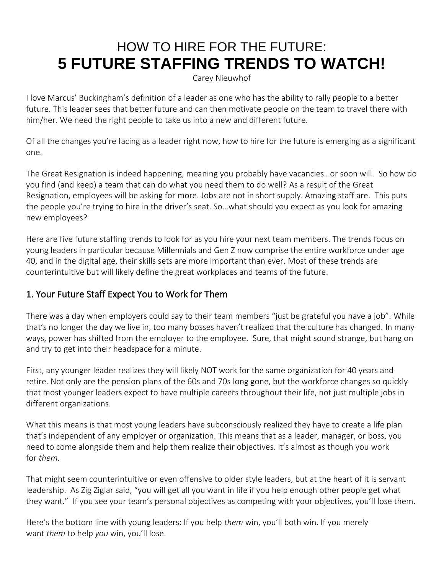# HOW TO HIRE FOR THE FUTURE: **5 FUTURE STAFFING TRENDS TO WATCH!**

[Carey Nieuwhof](mhtml:file://C:/Users/drousopoulos/AppData/Local/Microsoft/Windows/INetCache/Content.Outlook/D9UX6U9Q/email.mht!https://davekraft.us3.list-manage.com/track/click?u=4d1c5138a28c4710d33abc112&id=d4cd290bb3&e=bd91b9de67)

I love Marcus' Buckingham's definition of a leader as one who has the ability to rally people to a better future. This leader sees that better future and can then motivate people on the team to travel there with him/her. We need the right people to take us into a new and different future.

Of all the changes you're facing as a leader right now, how to hire for the future is emerging as a significant one.

[The Great Resignation](mhtml:file://C:/Users/drousopoulos/AppData/Local/Microsoft/Windows/INetCache/Content.Outlook/D9UX6U9Q/email.mht!https://davekraft.us3.list-manage.com/track/click?u=4d1c5138a28c4710d33abc112&id=f0a9c325c0&e=bd91b9de67) is indeed happening, meaning you probably have vacancies…or soon will. So how do you find (and keep) a team that can do what you need them to do well? As a result of the Great Resignation, employees will be asking for more. Jobs are not in short supply. Amazing staff are. This puts the people you're trying to hire in the driver's seat. So…what should you expect as you look for amazing new employees?

Here are five future staffing trends to look for as you hire your next team members. The trends focus on young leaders in particular because Millennials and Gen Z now comprise the entire workforce under age 40, and in the digital age, their skills sets are more important than ever. Most of these trends are counterintuitive but will likely define the great workplaces and teams of the future.

### 1. Your Future Staff Expect You to Work for Them

There was a day when employers could say to their team members "just be grateful you have a job". While that's no longer the day we live in, too many bosses haven't realized that the culture has changed. In many ways, power has shifted from the employer to the employee. Sure, that might sound strange, but hang on and try to get into their headspace for a minute.

First, any younger leader realizes they will likely NOT work for the same organization for 40 years and retire. Not only are the pension plans of the 60s and 70s long gone, but the workforce changes so quickly that most younger leaders expect to have multiple careers throughout their life, not just multiple jobs in different organizations.

What this means is that most young leaders have subconsciously realized they have to create a life plan that's independent of any employer or organization. This means that as a leader, manager, or boss, you need to come alongside them and help them realize their objectives. It's almost as though you work for *them.*

That might seem counterintuitive or even offensive to older style leaders, but at the heart of it is servant leadership. As Zig Ziglar said, "you will get all you want in life if you help enough other people get what they want." If you see your team's personal objectives as competing with your objectives, you'll lose them.

Here's the bottom line with young leaders: If you help *them* win, you'll both win. If you merely want *them* to help *you* win, you'll lose.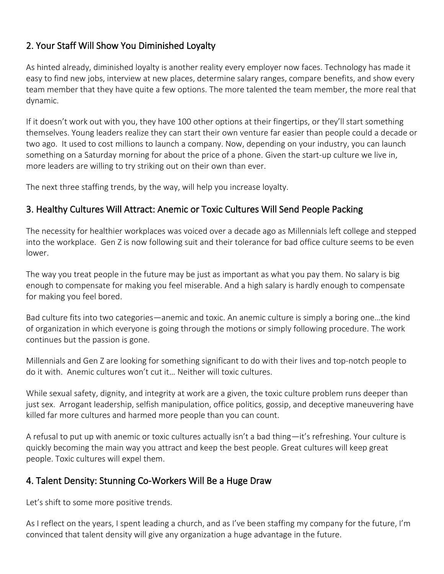# 2. Your Staff Will Show You Diminished Loyalty

As hinted already, diminished loyalty is another reality every employer now faces. Technology has made it easy to find new jobs, interview at new places, determine salary ranges, compare benefits, and show every team member that they have quite a few options. The more talented the team member, the more real that dynamic.

If it doesn't work out with you, they have 100 other options at their fingertips, or they'll start something themselves. Young leaders realize they can start their own venture far easier than people could a decade or two ago. It used to cost millions to launch a company. Now, depending on your industry, you can launch something on a Saturday morning for about the price of a phone. Given the start-up culture we live in, more leaders are willing to try striking out on their own than ever.

The next three staffing trends, by the way, will help you increase loyalty.

#### 3. Healthy Cultures Will Attract: Anemic or Toxic Cultures Will Send People Packing

The necessity for healthier workplaces was voiced over a decade ago as Millennials left college and stepped into the workplace. Gen Z is now following suit and their tolerance for bad office culture seems to be even lower.

The way you treat people in the future may be just as important as what you pay them. No salary is big enough to compensate for making you feel miserable. And a high salary is hardly enough to compensate for making you feel bored.

Bad culture fits into two categories—anemic and toxic. An anemic culture is simply a boring one…the kind of organization in which everyone is going through the motions or simply following procedure. The work continues but the passion is gone.

Millennials and Gen Z are looking for something significant to do with their lives and top-notch people to do it with. Anemic cultures won't cut it… Neither will toxic cultures.

While sexual safety, dignity, and integrity at work are a given, the toxic culture problem runs deeper than just sex. Arrogant leadership, selfish manipulation, office politics, gossip, and deceptive maneuvering have killed far more cultures and harmed more people than you can count.

A refusal to put up with anemic or toxic cultures actually isn't a bad thing—it's refreshing. Your culture is quickly becoming the main way you attract and keep the best people. Great cultures will keep great people. Toxic cultures will expel them.

#### 4. Talent Density: Stunning Co-Workers Will Be a Huge Draw

Let's shift to some more positive trends.

As I reflect on the years, I spent leading a church, and as I've been staffing my company for the future, I'm convinced that talent density will give any organization a huge advantage in the future.